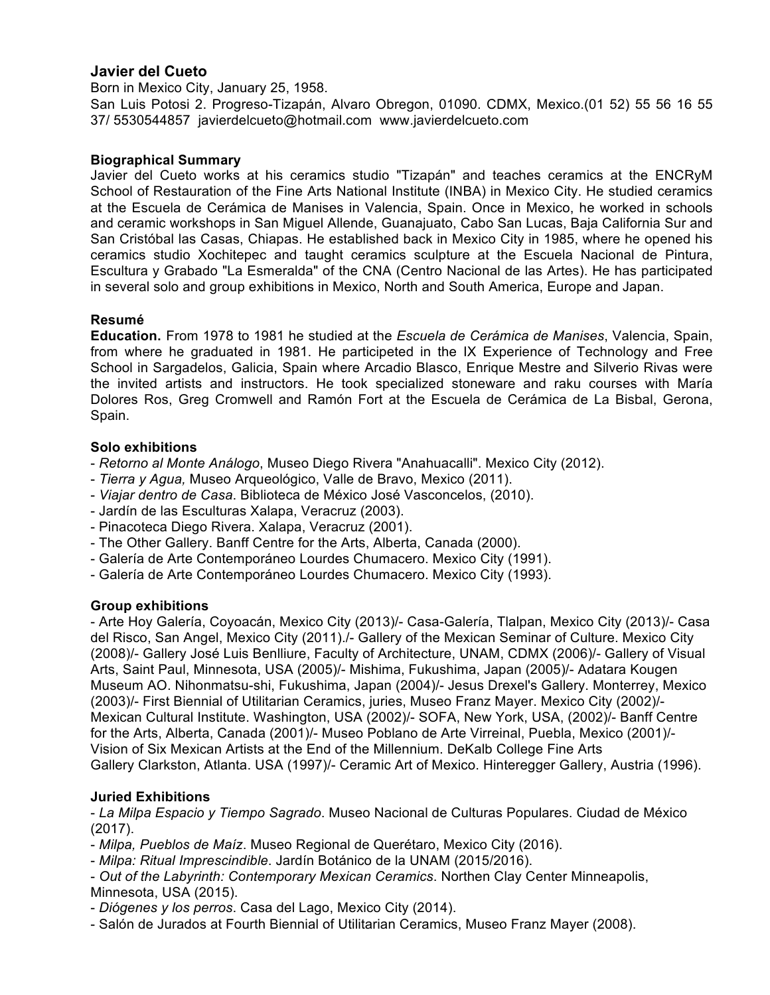## **Javier del Cueto**

Born in Mexico City, January 25, 1958.

San Luis Potosi 2. Progreso-Tizapán, Alvaro Obregon, 01090. CDMX, Mexico.(01 52) 55 56 16 55 37/ 5530544857 javierdelcueto@hotmail.com www.javierdelcueto.com

#### **Biographical Summary**

Javier del Cueto works at his ceramics studio "Tizapán" and teaches ceramics at the ENCRyM School of Restauration of the Fine Arts National Institute (INBA) in Mexico City. He studied ceramics at the Escuela de Cerámica de Manises in Valencia, Spain. Once in Mexico, he worked in schools and ceramic workshops in San Miguel Allende, Guanajuato, Cabo San Lucas, Baja California Sur and San Cristóbal las Casas, Chiapas. He established back in Mexico City in 1985, where he opened his ceramics studio Xochitepec and taught ceramics sculpture at the Escuela Nacional de Pintura, Escultura y Grabado "La Esmeralda" of the CNA (Centro Nacional de las Artes). He has participated in several solo and group exhibitions in Mexico, North and South America, Europe and Japan.

#### **Resumé**

**Education.** From 1978 to 1981 he studied at the *Escuela de Cerámica de Manises*, Valencia, Spain, from where he graduated in 1981. He participeted in the IX Experience of Technology and Free School in Sargadelos, Galicia, Spain where Arcadio Blasco, Enrique Mestre and Silverio Rivas were the invited artists and instructors. He took specialized stoneware and raku courses with María Dolores Ros, Greg Cromwell and Ramón Fort at the Escuela de Cerámica de La Bisbal, Gerona, Spain.

#### **Solo exhibitions**

- *Retorno al Monte Análogo*, Museo Diego Rivera "Anahuacalli". Mexico City (2012).
- *Tierra y Agua,* Museo Arqueológico, Valle de Bravo, Mexico (2011).
- *Viajar dentro de Casa*. Biblioteca de México José Vasconcelos, (2010).
- Jardín de las Esculturas Xalapa, Veracruz (2003).
- Pinacoteca Diego Rivera. Xalapa, Veracruz (2001).
- The Other Gallery. Banff Centre for the Arts, Alberta, Canada (2000).
- Galería de Arte Contemporáneo Lourdes Chumacero. Mexico City (1991).
- Galería de Arte Contemporáneo Lourdes Chumacero. Mexico City (1993).

#### **Group exhibitions**

- Arte Hoy Galería, Coyoacán, Mexico City (2013)/- Casa-Galería, Tlalpan, Mexico City (2013)/- Casa del Risco, San Angel, Mexico City (2011)./- Gallery of the Mexican Seminar of Culture. Mexico City (2008)/- Gallery José Luis Benlliure, Faculty of Architecture, UNAM, CDMX (2006)/- Gallery of Visual Arts, Saint Paul, Minnesota, USA (2005)/- Mishima, Fukushima, Japan (2005)/- Adatara Kougen Museum AO. Nihonmatsu-shi, Fukushima, Japan (2004)/- Jesus Drexel's Gallery. Monterrey, Mexico (2003)/- First Biennial of Utilitarian Ceramics, juries, Museo Franz Mayer. Mexico City (2002)/- Mexican Cultural Institute. Washington, USA (2002)/- SOFA, New York, USA, (2002)/- Banff Centre for the Arts, Alberta, Canada (2001)/- Museo Poblano de Arte Virreinal, Puebla, Mexico (2001)/- Vision of Six Mexican Artists at the End of the Millennium. DeKalb College Fine Arts Gallery Clarkston, Atlanta. USA (1997)/- Ceramic Art of Mexico. Hinteregger Gallery, Austria (1996).

## **Juried Exhibitions**

- *La Milpa Espacio y Tiempo Sagrado*. Museo Nacional de Culturas Populares. Ciudad de México (2017).

- *Milpa, Pueblos de Maíz*. Museo Regional de Querétaro, Mexico City (2016).
- *Milpa: Ritual Imprescindible*. Jardín Botánico de la UNAM (2015/2016).
- *Out of the Labyrinth: Contemporary Mexican Ceramics*. Northen Clay Center Minneapolis, Minnesota, USA (2015).
- *Diógenes y los perros*. Casa del Lago, Mexico City (2014).
- Salón de Jurados at Fourth Biennial of Utilitarian Ceramics, Museo Franz Mayer (2008).